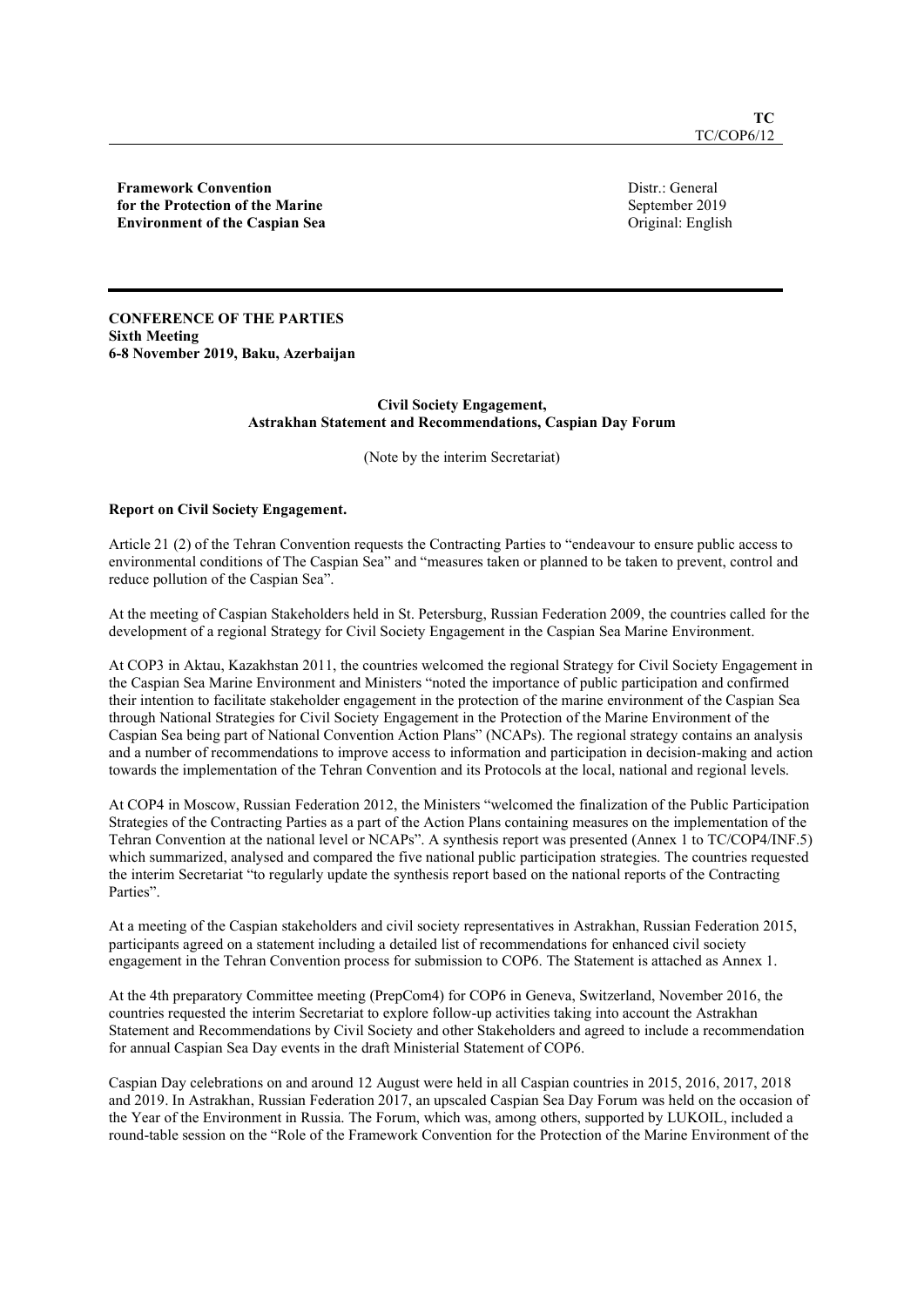Framework Convention for the Protection of the Marine Environment of the Caspian Sea Distr.: General September 2019 Original: English

CONFERENCE OF THE PARTIES Sixth Meeting 6-8 November 2019, Baku, Azerbaijan

## Civil Society Engagement, Astrakhan Statement and Recommendations, Caspian Day Forum

(Note by the interim Secretariat)

# Report on Civil Society Engagement.

Article 21 (2) of the Tehran Convention requests the Contracting Parties to "endeavour to ensure public access to environmental conditions of The Caspian Sea" and "measures taken or planned to be taken to prevent, control and reduce pollution of the Caspian Sea".

At the meeting of Caspian Stakeholders held in St. Petersburg, Russian Federation 2009, the countries called for the development of a regional Strategy for Civil Society Engagement in the Caspian Sea Marine Environment.

At COP3 in Aktau, Kazakhstan 2011, the countries welcomed the regional Strategy for Civil Society Engagement in the Caspian Sea Marine Environment and Ministers "noted the importance of public participation and confirmed their intention to facilitate stakeholder engagement in the protection of the marine environment of the Caspian Sea through National Strategies for Civil Society Engagement in the Protection of the Marine Environment of the Caspian Sea being part of National Convention Action Plans" (NCAPs). The regional strategy contains an analysis and a number of recommendations to improve access to information and participation in decision-making and action towards the implementation of the Tehran Convention and its Protocols at the local, national and regional levels.

At COP4 in Moscow, Russian Federation 2012, the Ministers "welcomed the finalization of the Public Participation Strategies of the Contracting Parties as a part of the Action Plans containing measures on the implementation of the Tehran Convention at the national level or NCAPs". A synthesis report was presented (Annex 1 to TC/COP4/INF.5) which summarized, analysed and compared the five national public participation strategies. The countries requested the interim Secretariat "to regularly update the synthesis report based on the national reports of the Contracting Parties".

At a meeting of the Caspian stakeholders and civil society representatives in Astrakhan, Russian Federation 2015, participants agreed on a statement including a detailed list of recommendations for enhanced civil society engagement in the Tehran Convention process for submission to COP6. The Statement is attached as Annex 1.

At the 4th preparatory Committee meeting (PrepCom4) for COP6 in Geneva, Switzerland, November 2016, the countries requested the interim Secretariat to explore follow-up activities taking into account the Astrakhan Statement and Recommendations by Civil Society and other Stakeholders and agreed to include a recommendation for annual Caspian Sea Day events in the draft Ministerial Statement of COP6.

Caspian Day celebrations on and around 12 August were held in all Caspian countries in 2015, 2016, 2017, 2018 and 2019. In Astrakhan, Russian Federation 2017, an upscaled Caspian Sea Day Forum was held on the occasion of the Year of the Environment in Russia. The Forum, which was, among others, supported by LUKOIL, included a round-table session on the "Role of the Framework Convention for the Protection of the Marine Environment of the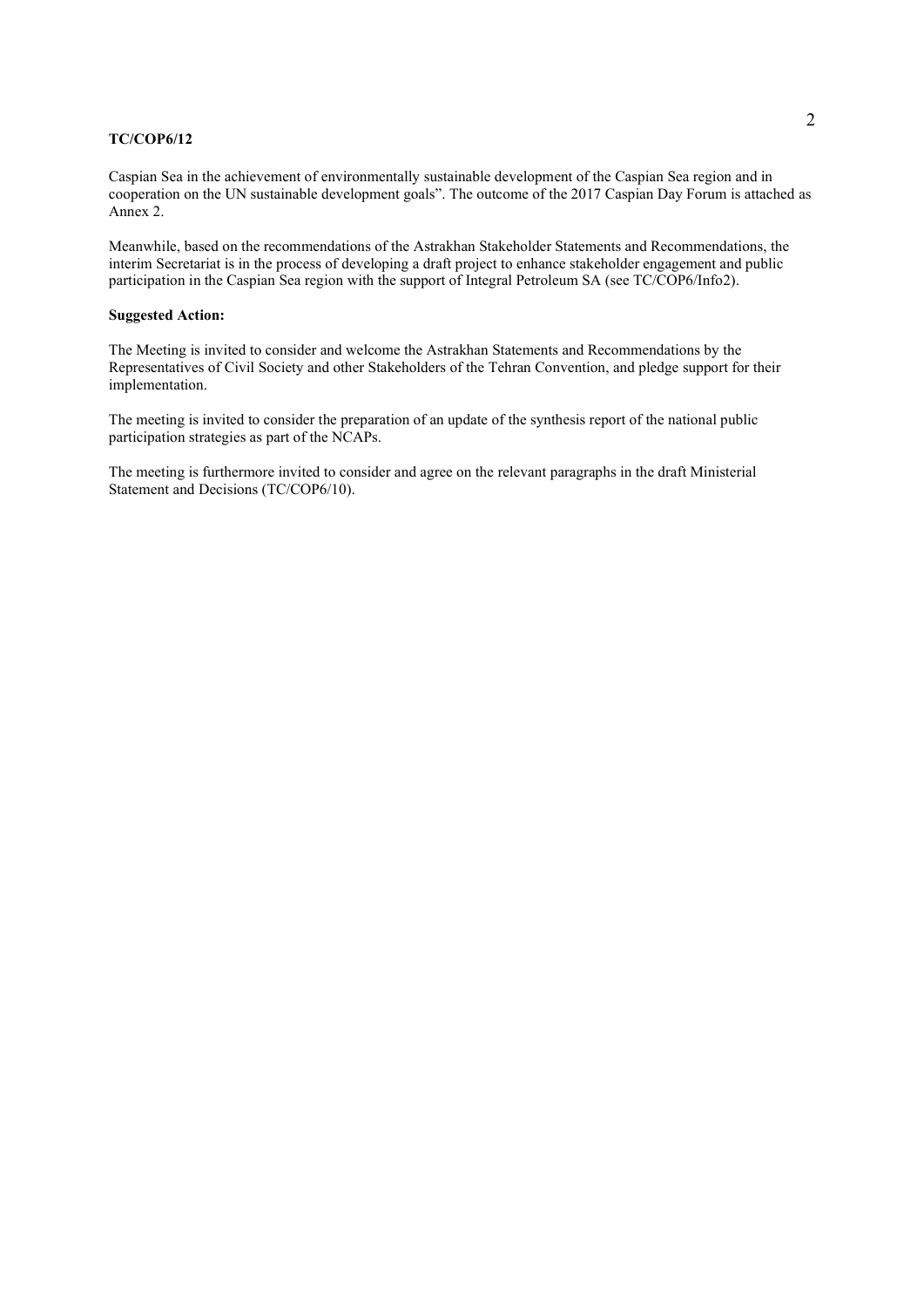Caspian Sea in the achievement of environmentally sustainable development of the Caspian Sea region and in cooperation on the UN sustainable development goals". The outcome of the 2017 Caspian Day Forum is attached as Annex 2.

Meanwhile, based on the recommendations of the Astrakhan Stakeholder Statements and Recommendations, the interim Secretariat is in the process of developing a draft project to enhance stakeholder engagement and public participation in the Caspian Sea region with the support of Integral Petroleum SA (see TC/COP6/Info2).

# Suggested Action:

The Meeting is invited to consider and welcome the Astrakhan Statements and Recommendations by the Representatives of Civil Society and other Stakeholders of the Tehran Convention, and pledge support for their implementation.

The meeting is invited to consider the preparation of an update of the synthesis report of the national public participation strategies as part of the NCAPs.

The meeting is furthermore invited to consider and agree on the relevant paragraphs in the draft Ministerial Statement and Decisions (TC/COP6/10).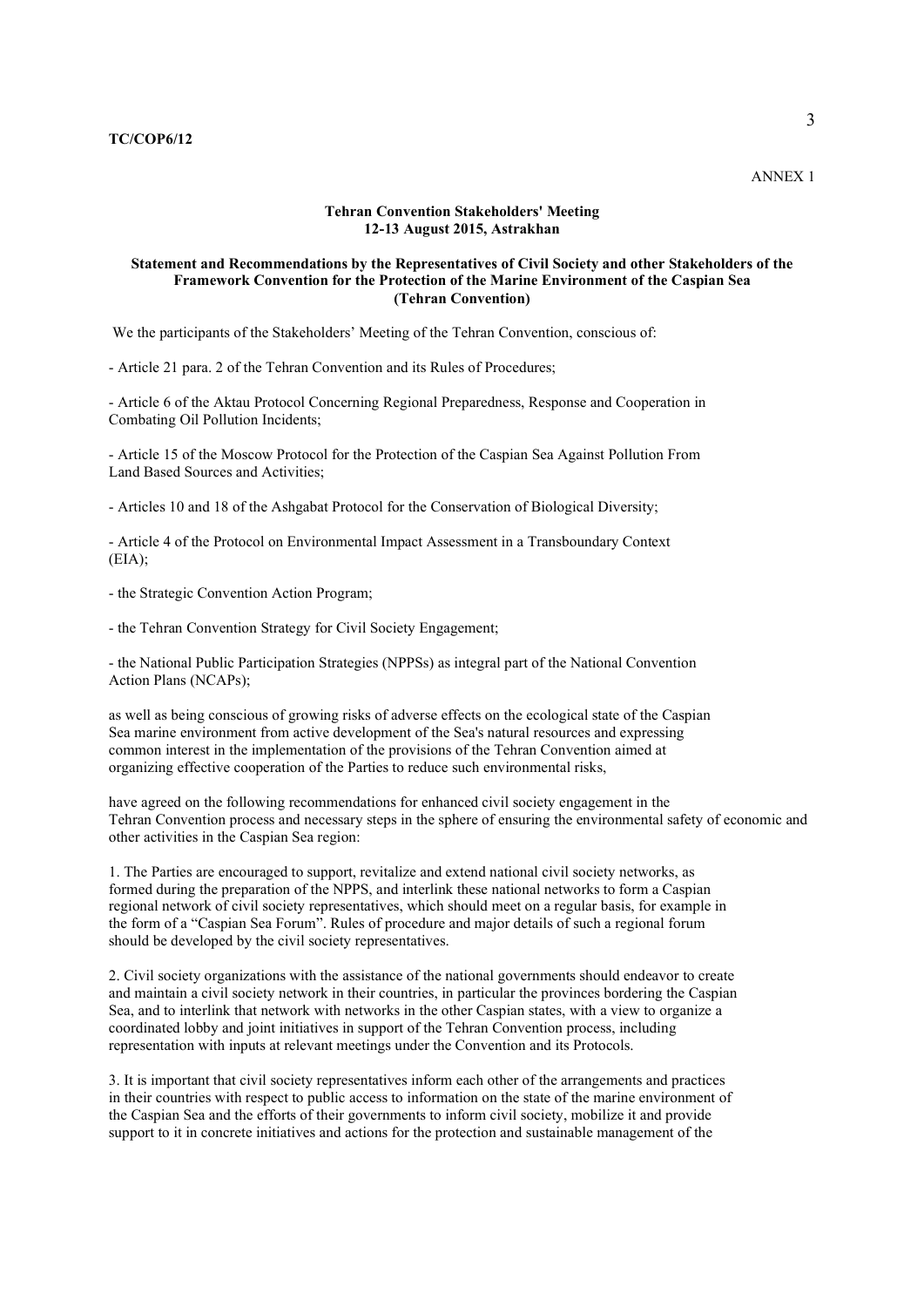# Tehran Convention Stakeholders' Meeting 12-13 August 2015, Astrakhan

# Statement and Recommendations by the Representatives of Civil Society and other Stakeholders of the Framework Convention for the Protection of the Marine Environment of the Caspian Sea (Tehran Convention)

We the participants of the Stakeholders' Meeting of the Tehran Convention, conscious of:

- Article 21 para. 2 of the Tehran Convention and its Rules of Procedures;

- Article 6 of the Aktau Protocol Concerning Regional Preparedness, Response and Cooperation in Combating Oil Pollution Incidents;

- Article 15 of the Moscow Protocol for the Protection of the Caspian Sea Against Pollution From Land Based Sources and Activities;

- Articles 10 and 18 of the Ashgabat Protocol for the Conservation of Biological Diversity;

- Article 4 of the Protocol on Environmental Impact Assessment in a Transboundary Context  $(EIA);$ 

- the Strategic Convention Action Program;

- the Tehran Convention Strategy for Civil Society Engagement;

- the National Public Participation Strategies (NPPSs) as integral part of the National Convention Action Plans (NCAPs);

as well as being conscious of growing risks of adverse effects on the ecological state of the Caspian Sea marine environment from active development of the Sea's natural resources and expressing common interest in the implementation of the provisions of the Tehran Convention aimed at organizing effective cooperation of the Parties to reduce such environmental risks,

have agreed on the following recommendations for enhanced civil society engagement in the Tehran Convention process and necessary steps in the sphere of ensuring the environmental safety of economic and other activities in the Caspian Sea region:

1. The Parties are encouraged to support, revitalize and extend national civil society networks, as formed during the preparation of the NPPS, and interlink these national networks to form a Caspian regional network of civil society representatives, which should meet on a regular basis, for example in the form of a "Caspian Sea Forum". Rules of procedure and major details of such a regional forum should be developed by the civil society representatives.

2. Civil society organizations with the assistance of the national governments should endeavor to create and maintain a civil society network in their countries, in particular the provinces bordering the Caspian Sea, and to interlink that network with networks in the other Caspian states, with a view to organize a coordinated lobby and joint initiatives in support of the Tehran Convention process, including representation with inputs at relevant meetings under the Convention and its Protocols.

3. It is important that civil society representatives inform each other of the arrangements and practices in their countries with respect to public access to information on the state of the marine environment of the Caspian Sea and the efforts of their governments to inform civil society, mobilize it and provide support to it in concrete initiatives and actions for the protection and sustainable management of the

ANNEX 1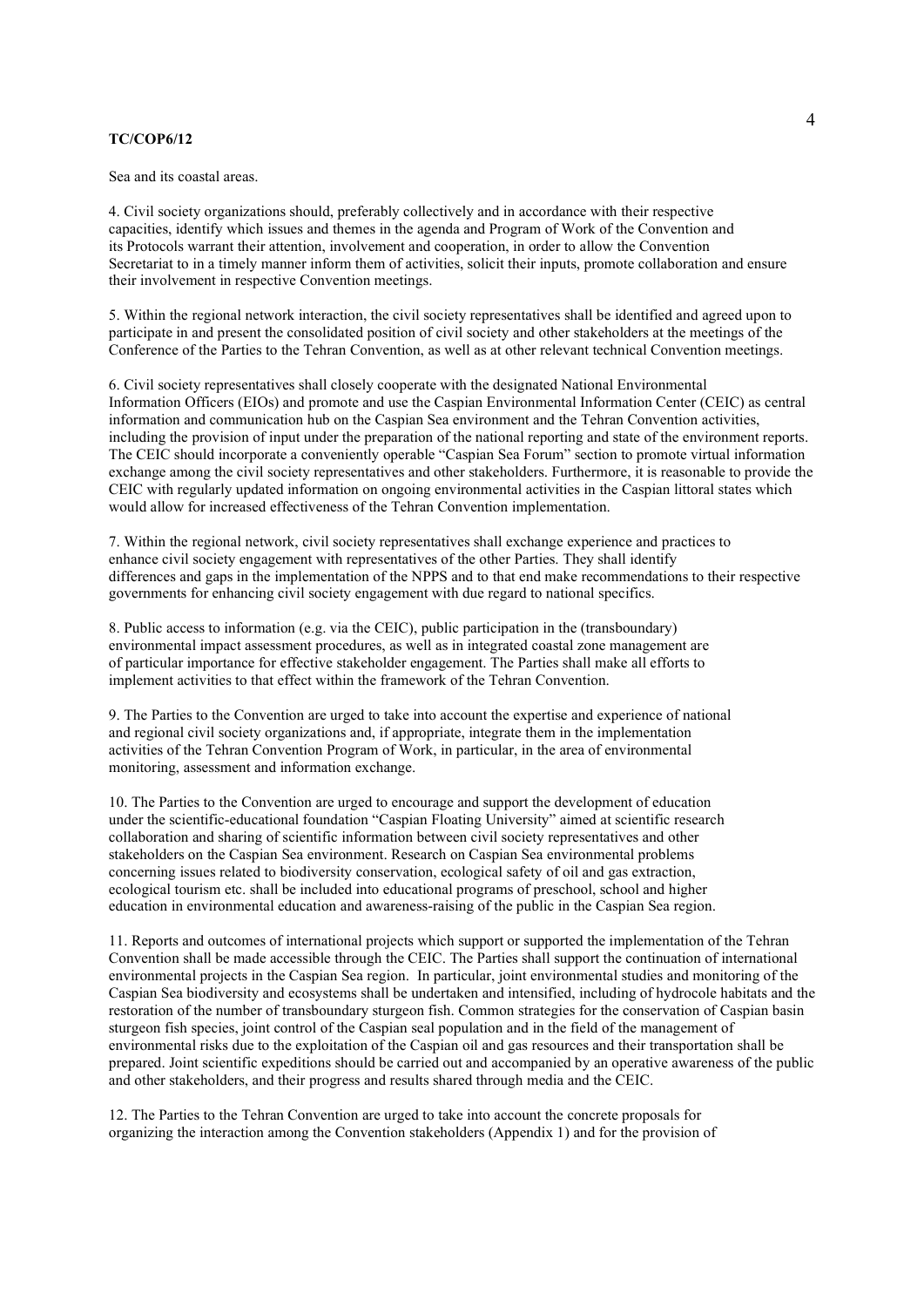Sea and its coastal areas.

4. Civil society organizations should, preferably collectively and in accordance with their respective capacities, identify which issues and themes in the agenda and Program of Work of the Convention and its Protocols warrant their attention, involvement and cooperation, in order to allow the Convention Secretariat to in a timely manner inform them of activities, solicit their inputs, promote collaboration and ensure their involvement in respective Convention meetings.

5. Within the regional network interaction, the civil society representatives shall be identified and agreed upon to participate in and present the consolidated position of civil society and other stakeholders at the meetings of the Conference of the Parties to the Tehran Convention, as well as at other relevant technical Convention meetings.

6. Civil society representatives shall closely cooperate with the designated National Environmental Information Officers (EIOs) and promote and use the Caspian Environmental Information Center (CEIC) as central information and communication hub on the Caspian Sea environment and the Tehran Convention activities, including the provision of input under the preparation of the national reporting and state of the environment reports. The CEIC should incorporate a conveniently operable "Caspian Sea Forum" section to promote virtual information exchange among the civil society representatives and other stakeholders. Furthermore, it is reasonable to provide the CEIC with regularly updated information on ongoing environmental activities in the Caspian littoral states which would allow for increased effectiveness of the Tehran Convention implementation.

7. Within the regional network, civil society representatives shall exchange experience and practices to enhance civil society engagement with representatives of the other Parties. They shall identify differences and gaps in the implementation of the NPPS and to that end make recommendations to their respective governments for enhancing civil society engagement with due regard to national specifics.

8. Public access to information (e.g. via the CEIC), public participation in the (transboundary) environmental impact assessment procedures, as well as in integrated coastal zone management are of particular importance for effective stakeholder engagement. The Parties shall make all efforts to implement activities to that effect within the framework of the Tehran Convention.

9. The Parties to the Convention are urged to take into account the expertise and experience of national and regional civil society organizations and, if appropriate, integrate them in the implementation activities of the Tehran Convention Program of Work, in particular, in the area of environmental monitoring, assessment and information exchange.

10. The Parties to the Convention are urged to encourage and support the development of education under the scientific-educational foundation "Caspian Floating University" aimed at scientific research collaboration and sharing of scientific information between civil society representatives and other stakeholders on the Caspian Sea environment. Research on Caspian Sea environmental problems concerning issues related to biodiversity conservation, ecological safety of oil and gas extraction, ecological tourism etc. shall be included into educational programs of preschool, school and higher education in environmental education and awareness-raising of the public in the Caspian Sea region.

11. Reports and outcomes of international projects which support or supported the implementation of the Tehran Convention shall be made accessible through the CEIC. The Parties shall support the continuation of international environmental projects in the Caspian Sea region. In particular, joint environmental studies and monitoring of the Caspian Sea biodiversity and ecosystems shall be undertaken and intensified, including of hydrocole habitats and the restoration of the number of transboundary sturgeon fish. Common strategies for the conservation of Caspian basin sturgeon fish species, joint control of the Caspian seal population and in the field of the management of environmental risks due to the exploitation of the Caspian oil and gas resources and their transportation shall be prepared. Joint scientific expeditions should be carried out and accompanied by an operative awareness of the public and other stakeholders, and their progress and results shared through media and the CEIC.

12. The Parties to the Tehran Convention are urged to take into account the concrete proposals for organizing the interaction among the Convention stakeholders (Appendix 1) and for the provision of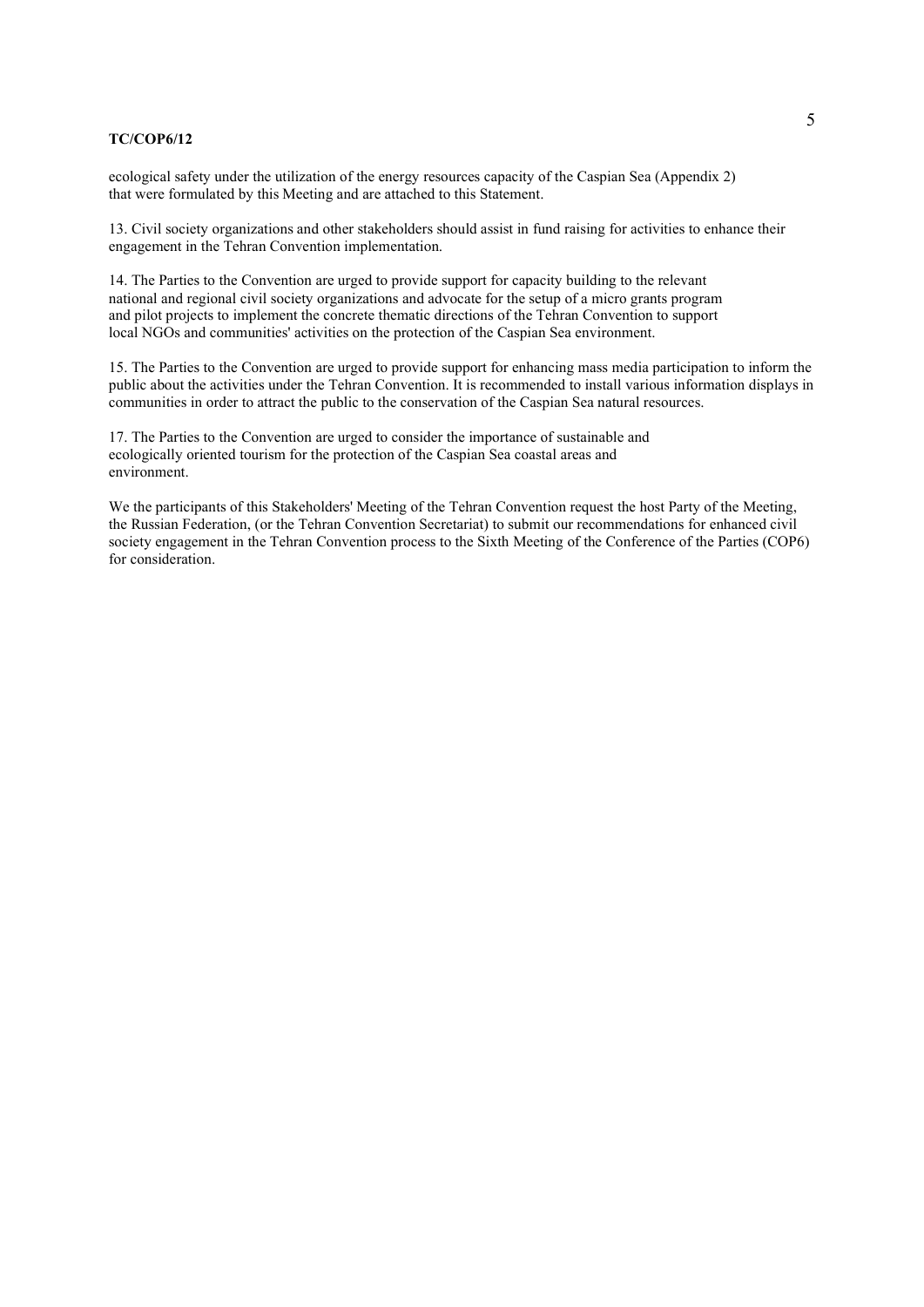ecological safety under the utilization of the energy resources capacity of the Caspian Sea (Appendix 2) that were formulated by this Meeting and are attached to this Statement.

13. Civil society organizations and other stakeholders should assist in fund raising for activities to enhance their engagement in the Tehran Convention implementation.

14. The Parties to the Convention are urged to provide support for capacity building to the relevant national and regional civil society organizations and advocate for the setup of a micro grants program and pilot projects to implement the concrete thematic directions of the Tehran Convention to support local NGOs and communities' activities on the protection of the Caspian Sea environment.

15. The Parties to the Convention are urged to provide support for enhancing mass media participation to inform the public about the activities under the Tehran Convention. It is recommended to install various information displays in communities in order to attract the public to the conservation of the Caspian Sea natural resources.

17. The Parties to the Convention are urged to consider the importance of sustainable and ecologically oriented tourism for the protection of the Caspian Sea coastal areas and environment.

We the participants of this Stakeholders' Meeting of the Tehran Convention request the host Party of the Meeting, the Russian Federation, (or the Tehran Convention Secretariat) to submit our recommendations for enhanced civil society engagement in the Tehran Convention process to the Sixth Meeting of the Conference of the Parties (COP6) for consideration.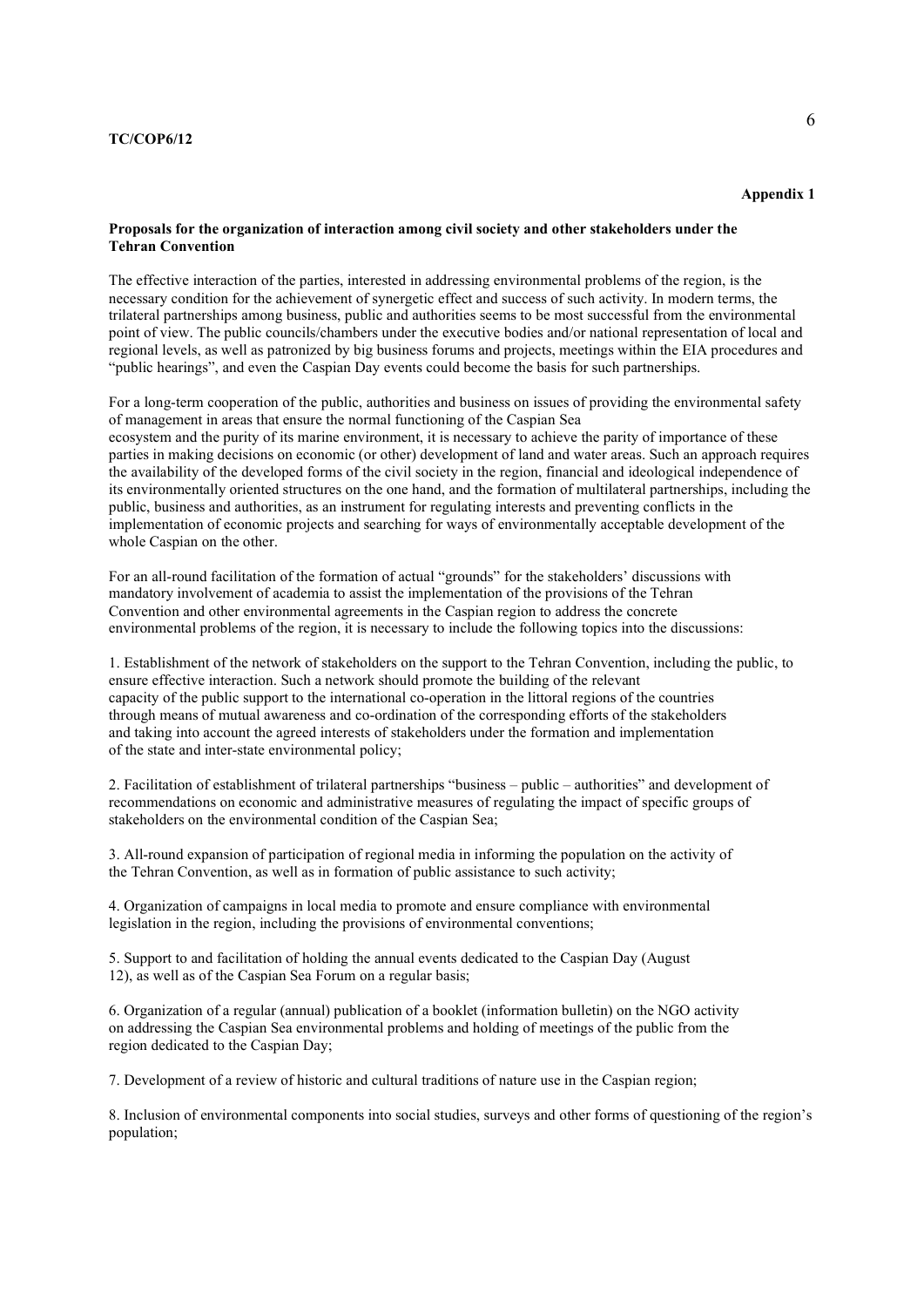# Appendix 1

# Proposals for the organization of interaction among civil society and other stakeholders under the Tehran Convention

The effective interaction of the parties, interested in addressing environmental problems of the region, is the necessary condition for the achievement of synergetic effect and success of such activity. In modern terms, the trilateral partnerships among business, public and authorities seems to be most successful from the environmental point of view. The public councils/chambers under the executive bodies and/or national representation of local and regional levels, as well as patronized by big business forums and projects, meetings within the EIA procedures and "public hearings", and even the Caspian Day events could become the basis for such partnerships.

For a long-term cooperation of the public, authorities and business on issues of providing the environmental safety of management in areas that ensure the normal functioning of the Caspian Sea ecosystem and the purity of its marine environment, it is necessary to achieve the parity of importance of these parties in making decisions on economic (or other) development of land and water areas. Such an approach requires the availability of the developed forms of the civil society in the region, financial and ideological independence of its environmentally oriented structures on the one hand, and the formation of multilateral partnerships, including the public, business and authorities, as an instrument for regulating interests and preventing conflicts in the implementation of economic projects and searching for ways of environmentally acceptable development of the whole Caspian on the other.

For an all-round facilitation of the formation of actual "grounds" for the stakeholders' discussions with mandatory involvement of academia to assist the implementation of the provisions of the Tehran Convention and other environmental agreements in the Caspian region to address the concrete environmental problems of the region, it is necessary to include the following topics into the discussions:

1. Establishment of the network of stakeholders on the support to the Tehran Convention, including the public, to ensure effective interaction. Such a network should promote the building of the relevant capacity of the public support to the international co-operation in the littoral regions of the countries through means of mutual awareness and co-ordination of the corresponding efforts of the stakeholders and taking into account the agreed interests of stakeholders under the formation and implementation of the state and inter-state environmental policy;

2. Facilitation of establishment of trilateral partnerships "business – public – authorities" and development of recommendations on economic and administrative measures of regulating the impact of specific groups of stakeholders on the environmental condition of the Caspian Sea;

3. All-round expansion of participation of regional media in informing the population on the activity of the Tehran Convention, as well as in formation of public assistance to such activity;

4. Organization of campaigns in local media to promote and ensure compliance with environmental legislation in the region, including the provisions of environmental conventions;

5. Support to and facilitation of holding the annual events dedicated to the Caspian Day (August 12), as well as of the Caspian Sea Forum on a regular basis;

6. Organization of a regular (annual) publication of a booklet (information bulletin) on the NGO activity on addressing the Caspian Sea environmental problems and holding of meetings of the public from the region dedicated to the Caspian Day;

7. Development of a review of historic and cultural traditions of nature use in the Caspian region;

8. Inclusion of environmental components into social studies, surveys and other forms of questioning of the region's population;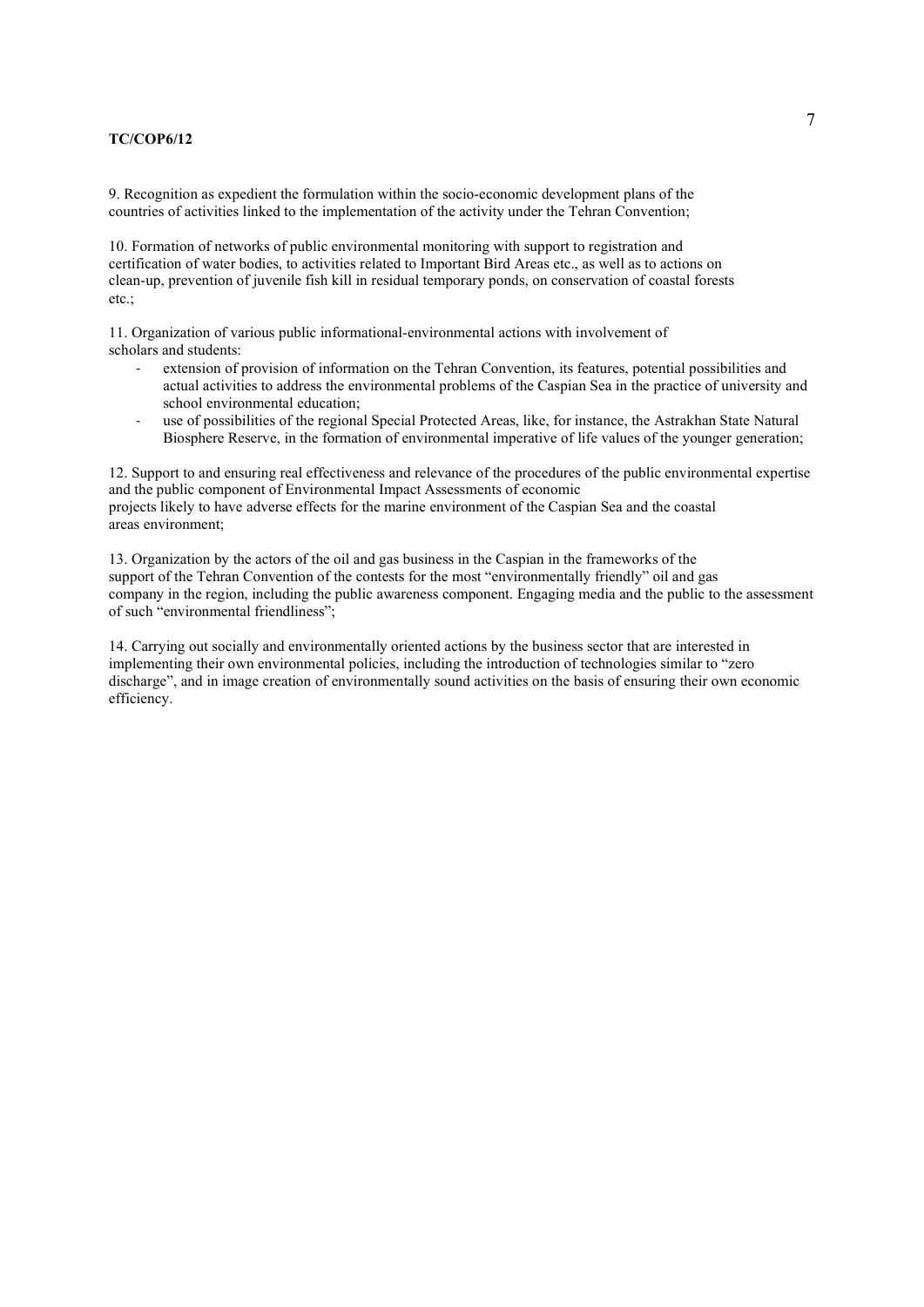9. Recognition as expedient the formulation within the socio-economic development plans of the countries of activities linked to the implementation of the activity under the Tehran Convention;

10. Formation of networks of public environmental monitoring with support to registration and certification of water bodies, to activities related to Important Bird Areas etc., as well as to actions on clean-up, prevention of juvenile fish kill in residual temporary ponds, on conservation of coastal forests etc.;

11. Organization of various public informational-environmental actions with involvement of scholars and students:

- extension of provision of information on the Tehran Convention, its features, potential possibilities and actual activities to address the environmental problems of the Caspian Sea in the practice of university and school environmental education;
- use of possibilities of the regional Special Protected Areas, like, for instance, the Astrakhan State Natural Biosphere Reserve, in the formation of environmental imperative of life values of the younger generation;

12. Support to and ensuring real effectiveness and relevance of the procedures of the public environmental expertise and the public component of Environmental Impact Assessments of economic projects likely to have adverse effects for the marine environment of the Caspian Sea and the coastal areas environment;

13. Organization by the actors of the oil and gas business in the Caspian in the frameworks of the support of the Tehran Convention of the contests for the most "environmentally friendly" oil and gas company in the region, including the public awareness component. Engaging media and the public to the assessment of such "environmental friendliness";

14. Carrying out socially and environmentally oriented actions by the business sector that are interested in implementing their own environmental policies, including the introduction of technologies similar to "zero discharge", and in image creation of environmentally sound activities on the basis of ensuring their own economic efficiency.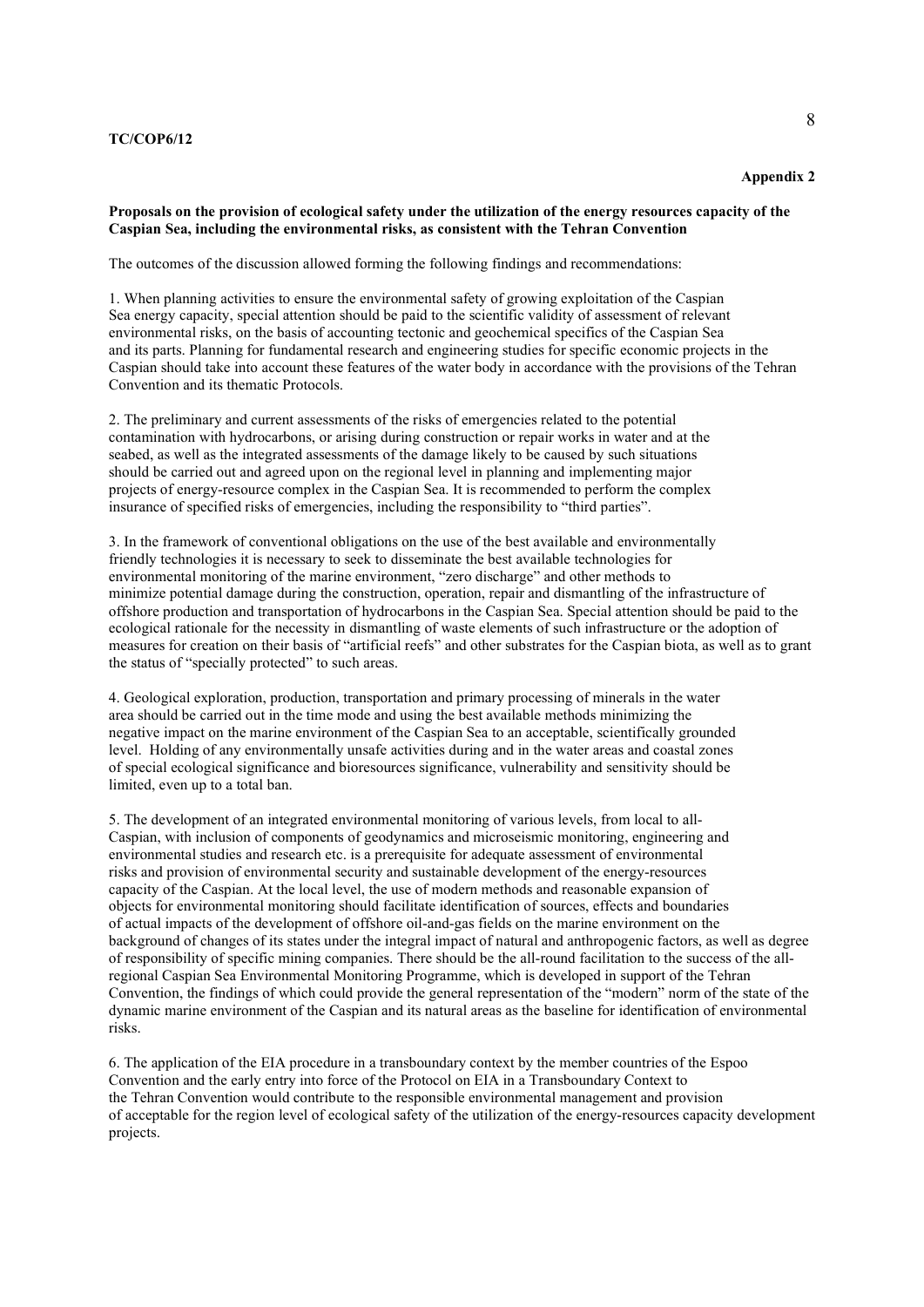#### Appendix 2

# Proposals on the provision of ecological safety under the utilization of the energy resources capacity of the Caspian Sea, including the environmental risks, as consistent with the Tehran Convention

The outcomes of the discussion allowed forming the following findings and recommendations:

1. When planning activities to ensure the environmental safety of growing exploitation of the Caspian Sea energy capacity, special attention should be paid to the scientific validity of assessment of relevant environmental risks, on the basis of accounting tectonic and geochemical specifics of the Caspian Sea and its parts. Planning for fundamental research and engineering studies for specific economic projects in the Caspian should take into account these features of the water body in accordance with the provisions of the Tehran Convention and its thematic Protocols.

2. The preliminary and current assessments of the risks of emergencies related to the potential contamination with hydrocarbons, or arising during construction or repair works in water and at the seabed, as well as the integrated assessments of the damage likely to be caused by such situations should be carried out and agreed upon on the regional level in planning and implementing major projects of energy-resource complex in the Caspian Sea. It is recommended to perform the complex insurance of specified risks of emergencies, including the responsibility to "third parties".

3. In the framework of conventional obligations on the use of the best available and environmentally friendly technologies it is necessary to seek to disseminate the best available technologies for environmental monitoring of the marine environment, "zero discharge" and other methods to minimize potential damage during the construction, operation, repair and dismantling of the infrastructure of offshore production and transportation of hydrocarbons in the Caspian Sea. Special attention should be paid to the ecological rationale for the necessity in dismantling of waste elements of such infrastructure or the adoption of measures for creation on their basis of "artificial reefs" and other substrates for the Caspian biota, as well as to grant the status of "specially protected" to such areas.

4. Geological exploration, production, transportation and primary processing of minerals in the water area should be carried out in the time mode and using the best available methods minimizing the negative impact on the marine environment of the Caspian Sea to an acceptable, scientifically grounded level. Holding of any environmentally unsafe activities during and in the water areas and coastal zones of special ecological significance and bioresources significance, vulnerability and sensitivity should be limited, even up to a total ban.

5. The development of an integrated environmental monitoring of various levels, from local to all-Caspian, with inclusion of components of geodynamics and microseismic monitoring, engineering and environmental studies and research etc. is a prerequisite for adequate assessment of environmental risks and provision of environmental security and sustainable development of the energy-resources capacity of the Caspian. At the local level, the use of modern methods and reasonable expansion of objects for environmental monitoring should facilitate identification of sources, effects and boundaries of actual impacts of the development of offshore oil-and-gas fields on the marine environment on the background of changes of its states under the integral impact of natural and anthropogenic factors, as well as degree of responsibility of specific mining companies. There should be the all-round facilitation to the success of the allregional Caspian Sea Environmental Monitoring Programme, which is developed in support of the Tehran Convention, the findings of which could provide the general representation of the "modern" norm of the state of the dynamic marine environment of the Caspian and its natural areas as the baseline for identification of environmental risks.

6. The application of the EIA procedure in a transboundary context by the member countries of the Espoo Convention and the early entry into force of the Protocol on EIA in a Transboundary Context to the Tehran Convention would contribute to the responsible environmental management and provision of acceptable for the region level of ecological safety of the utilization of the energy-resources capacity development projects.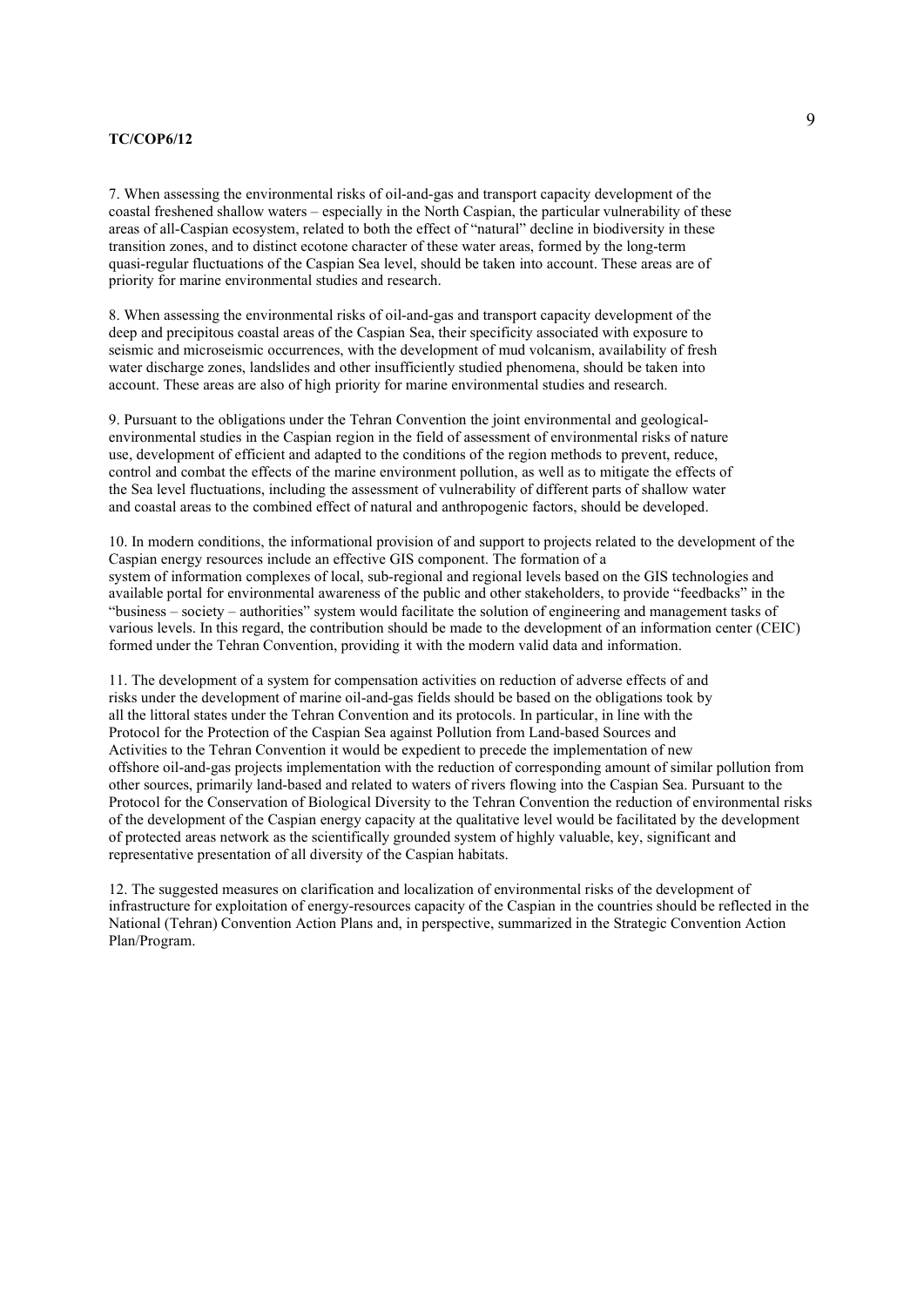7. When assessing the environmental risks of oil-and-gas and transport capacity development of the coastal freshened shallow waters – especially in the North Caspian, the particular vulnerability of these areas of all-Caspian ecosystem, related to both the effect of "natural" decline in biodiversity in these transition zones, and to distinct ecotone character of these water areas, formed by the long-term quasi-regular fluctuations of the Caspian Sea level, should be taken into account. These areas are of priority for marine environmental studies and research.

8. When assessing the environmental risks of oil-and-gas and transport capacity development of the deep and precipitous coastal areas of the Caspian Sea, their specificity associated with exposure to seismic and microseismic occurrences, with the development of mud volcanism, availability of fresh water discharge zones, landslides and other insufficiently studied phenomena, should be taken into account. These areas are also of high priority for marine environmental studies and research.

9. Pursuant to the obligations under the Tehran Convention the joint environmental and geologicalenvironmental studies in the Caspian region in the field of assessment of environmental risks of nature use, development of efficient and adapted to the conditions of the region methods to prevent, reduce, control and combat the effects of the marine environment pollution, as well as to mitigate the effects of the Sea level fluctuations, including the assessment of vulnerability of different parts of shallow water and coastal areas to the combined effect of natural and anthropogenic factors, should be developed.

10. In modern conditions, the informational provision of and support to projects related to the development of the Caspian energy resources include an effective GIS component. The formation of a system of information complexes of local, sub-regional and regional levels based on the GIS technologies and available portal for environmental awareness of the public and other stakeholders, to provide "feedbacks" in the "business – society – authorities" system would facilitate the solution of engineering and management tasks of various levels. In this regard, the contribution should be made to the development of an information center (CEIC) formed under the Tehran Convention, providing it with the modern valid data and information.

11. The development of a system for compensation activities on reduction of adverse effects of and risks under the development of marine oil-and-gas fields should be based on the obligations took by all the littoral states under the Tehran Convention and its protocols. In particular, in line with the Protocol for the Protection of the Caspian Sea against Pollution from Land-based Sources and Activities to the Tehran Convention it would be expedient to precede the implementation of new offshore oil-and-gas projects implementation with the reduction of corresponding amount of similar pollution from other sources, primarily land-based and related to waters of rivers flowing into the Caspian Sea. Pursuant to the Protocol for the Conservation of Biological Diversity to the Tehran Convention the reduction of environmental risks of the development of the Caspian energy capacity at the qualitative level would be facilitated by the development of protected areas network as the scientifically grounded system of highly valuable, key, significant and representative presentation of all diversity of the Caspian habitats.

12. The suggested measures on clarification and localization of environmental risks of the development of infrastructure for exploitation of energy-resources capacity of the Caspian in the countries should be reflected in the National (Tehran) Convention Action Plans and, in perspective, summarized in the Strategic Convention Action Plan/Program.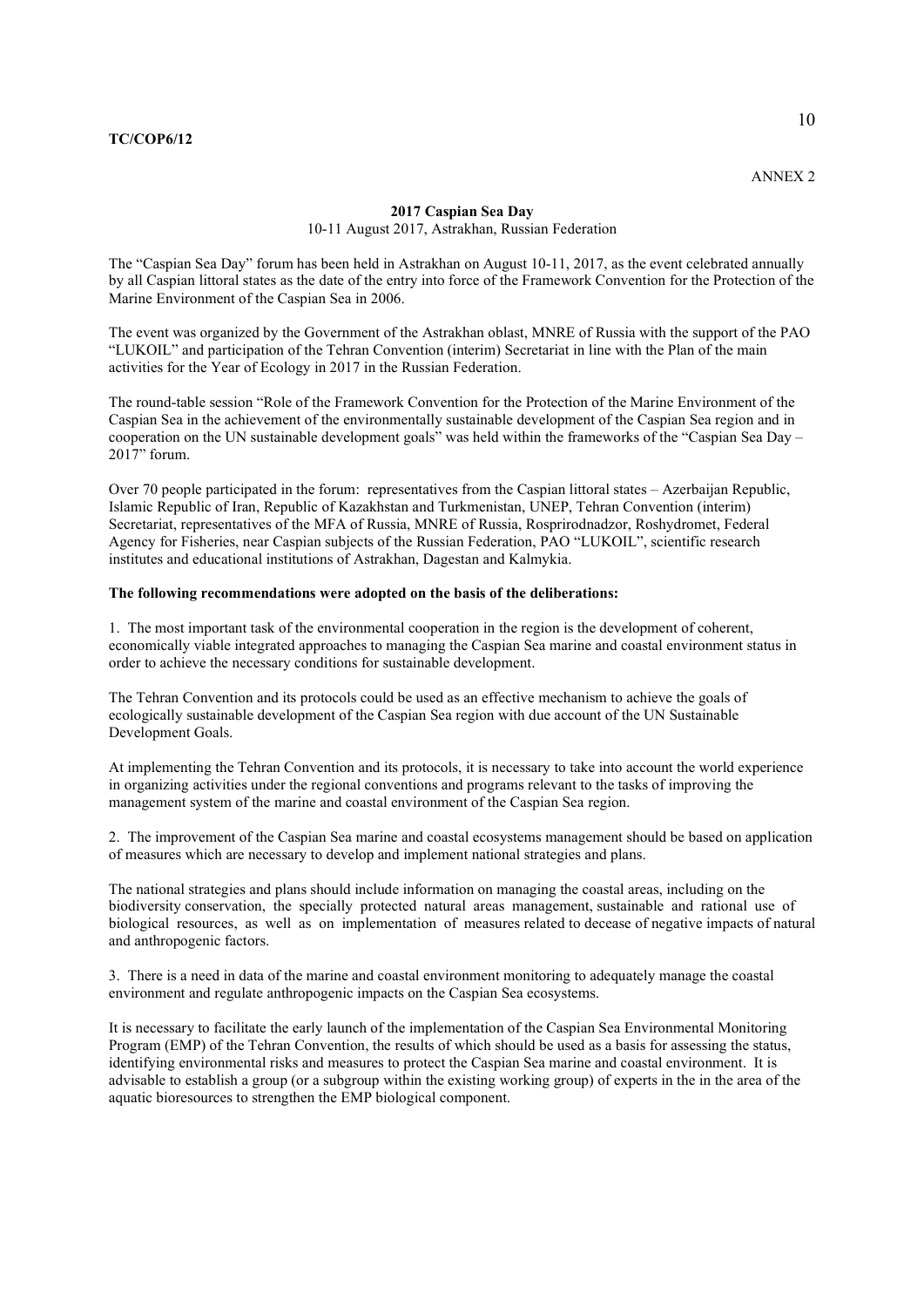# 2017 Caspian Sea Day 10-11 August 2017, Astrakhan, Russian Federation

The "Caspian Sea Day" forum has been held in Astrakhan on August 10-11, 2017, as the event celebrated annually by all Caspian littoral states as the date of the entry into force of the Framework Convention for the Protection of the Marine Environment of the Caspian Sea in 2006.

The event was organized by the Government of the Astrakhan oblast, MNRE of Russia with the support of the PAO "LUKOIL" and participation of the Tehran Convention (interim) Secretariat in line with the Plan of the main activities for the Year of Ecology in 2017 in the Russian Federation.

The round-table session "Role of the Framework Convention for the Protection of the Marine Environment of the Caspian Sea in the achievement of the environmentally sustainable development of the Caspian Sea region and in cooperation on the UN sustainable development goals" was held within the frameworks of the "Caspian Sea Day –  $2017$ " forum.

Over 70 people participated in the forum: representatives from the Caspian littoral states – Azerbaijan Republic, Islamic Republic of Iran, Republic of Kazakhstan and Turkmenistan, UNEP, Tehran Convention (interim) Secretariat, representatives of the MFA of Russia, MNRE of Russia, Rosprirodnadzor, Roshydromet, Federal Agency for Fisheries, near Caspian subjects of the Russian Federation, PAO "LUKOIL", scientific research institutes and educational institutions of Astrakhan, Dagestan and Kalmykia.

## The following recommendations were adopted on the basis of the deliberations:

1. The most important task of the environmental cooperation in the region is the development of coherent, economically viable integrated approaches to managing the Caspian Sea marine and coastal environment status in order to achieve the necessary conditions for sustainable development.

The Tehran Convention and its protocols could be used as an effective mechanism to achieve the goals of ecologically sustainable development of the Caspian Sea region with due account of the UN Sustainable Development Goals.

At implementing the Tehran Convention and its protocols, it is necessary to take into account the world experience in organizing activities under the regional conventions and programs relevant to the tasks of improving the management system of the marine and coastal environment of the Caspian Sea region.

2. The improvement of the Caspian Sea marine and coastal ecosystems management should be based on application of measures which are necessary to develop and implement national strategies and plans.

The national strategies and plans should include information on managing the coastal areas, including on the biodiversity conservation, the specially protected natural areas management, sustainable and rational use of biological resources, as well as on implementation of measures related to decease of negative impacts of natural and anthropogenic factors.

3. There is a need in data of the marine and coastal environment monitoring to adequately manage the coastal environment and regulate anthropogenic impacts on the Caspian Sea ecosystems.

It is necessary to facilitate the early launch of the implementation of the Caspian Sea Environmental Monitoring Program (EMP) of the Tehran Convention, the results of which should be used as a basis for assessing the status, identifying environmental risks and measures to protect the Caspian Sea marine and coastal environment. It is advisable to establish a group (or a subgroup within the existing working group) of experts in the in the area of the aquatic bioresources to strengthen the EMP biological component.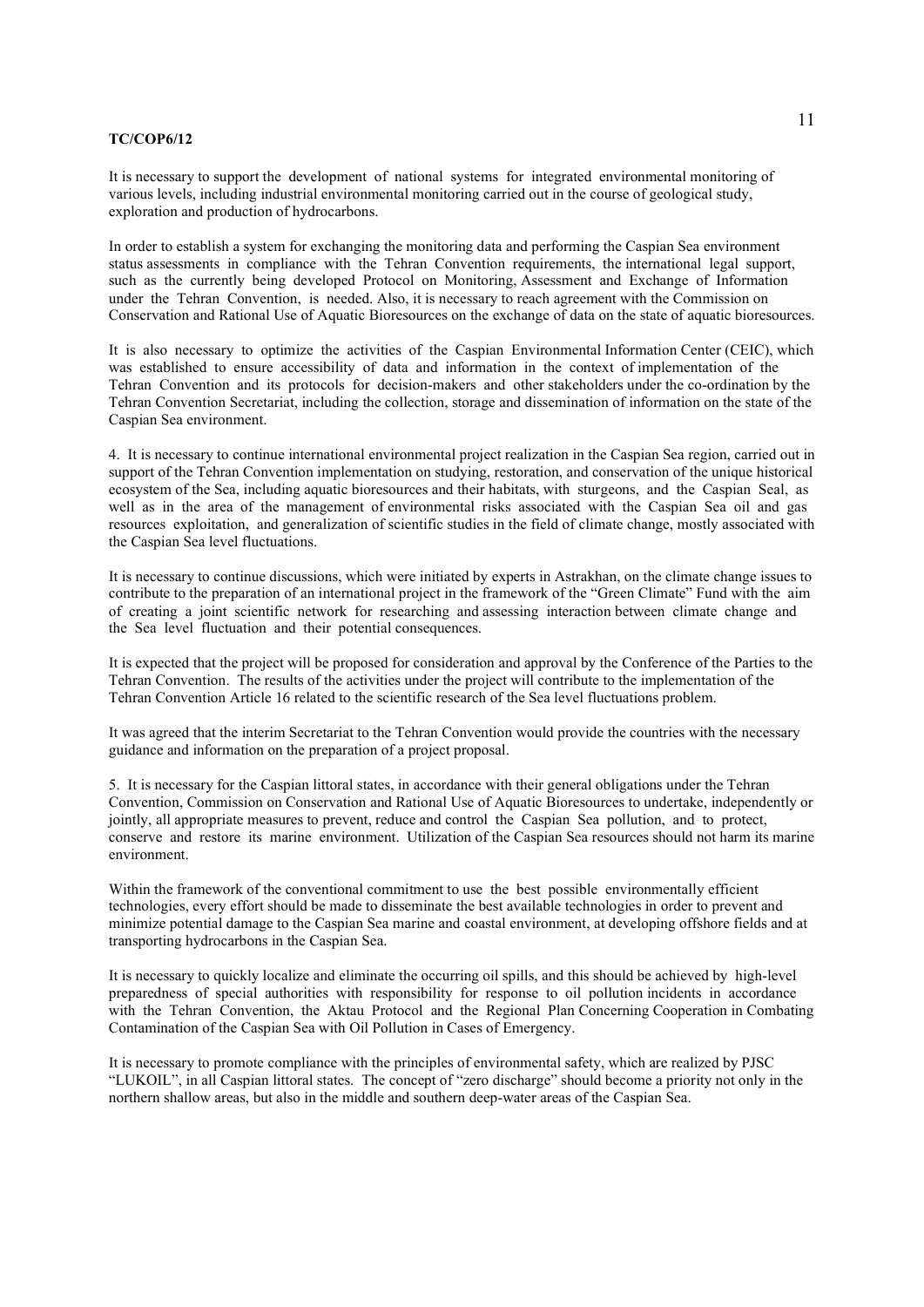It is necessary to support the development of national systems for integrated environmental monitoring of various levels, including industrial environmental monitoring carried out in the course of geological study, exploration and production of hydrocarbons.

In order to establish a system for exchanging the monitoring data and performing the Caspian Sea environment status assessments in compliance with the Tehran Convention requirements, the international legal support, such as the currently being developed Protocol on Monitoring, Assessment and Exchange of Information under the Tehran Convention, is needed. Also, it is necessary to reach agreement with the Commission on Conservation and Rational Use of Aquatic Bioresources on the exchange of data on the state of aquatic bioresources.

It is also necessary to optimize the activities of the Caspian Environmental Information Center (CEIC), which was established to ensure accessibility of data and information in the context of implementation of the Tehran Convention and its protocols for decision-makers and other stakeholders under the co-ordination by the Tehran Convention Secretariat, including the collection, storage and dissemination of information on the state of the Caspian Sea environment.

4. It is necessary to continue international environmental project realization in the Caspian Sea region, carried out in support of the Tehran Convention implementation on studying, restoration, and conservation of the unique historical ecosystem of the Sea, including aquatic bioresources and their habitats, with sturgeons, and the Caspian Seal, as well as in the area of the management of environmental risks associated with the Caspian Sea oil and gas resources exploitation, and generalization of scientific studies in the field of climate change, mostly associated with the Caspian Sea level fluctuations.

It is necessary to continue discussions, which were initiated by experts in Astrakhan, on the climate change issues to contribute to the preparation of an international project in the framework of the "Green Climate" Fund with the aim of creating a joint scientific network for researching and assessing interaction between climate change and the Sea level fluctuation and their potential consequences.

It is expected that the project will be proposed for consideration and approval by the Conference of the Parties to the Tehran Convention. The results of the activities under the project will contribute to the implementation of the Tehran Convention Article 16 related to the scientific research of the Sea level fluctuations problem.

It was agreed that the interim Secretariat to the Tehran Convention would provide the countries with the necessary guidance and information on the preparation of a project proposal.

5. It is necessary for the Caspian littoral states, in accordance with their general obligations under the Tehran Convention, Commission on Conservation and Rational Use of Aquatic Bioresources to undertake, independently or jointly, all appropriate measures to prevent, reduce and control the Caspian Sea pollution, and to protect, conserve and restore its marine environment. Utilization of the Caspian Sea resources should not harm its marine environment.

Within the framework of the conventional commitment to use the best possible environmentally efficient technologies, every effort should be made to disseminate the best available technologies in order to prevent and minimize potential damage to the Caspian Sea marine and coastal environment, at developing offshore fields and at transporting hydrocarbons in the Caspian Sea.

It is necessary to quickly localize and eliminate the occurring oil spills, and this should be achieved by high-level preparedness of special authorities with responsibility for response to oil pollution incidents in accordance with the Tehran Convention, the Aktau Protocol and the Regional Plan Concerning Cooperation in Combating Contamination of the Caspian Sea with Oil Pollution in Cases of Emergency.

It is necessary to promote compliance with the principles of environmental safety, which are realized by PJSC "LUKOIL", in all Caspian littoral states. The concept of "zero discharge" should become a priority not only in the northern shallow areas, but also in the middle and southern deep-water areas of the Caspian Sea.